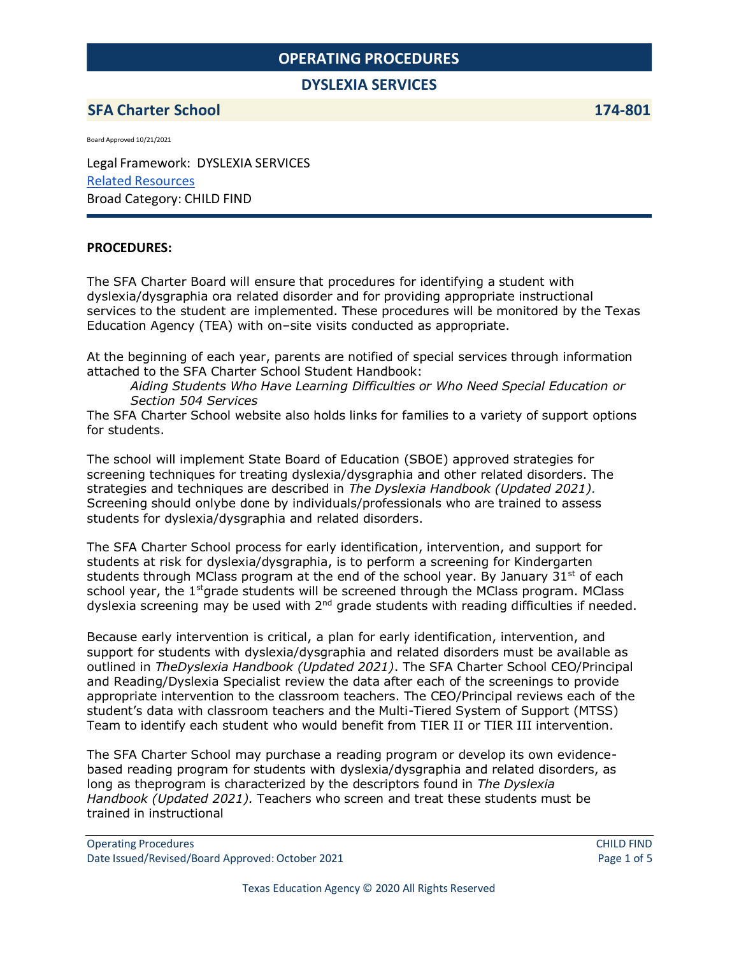### **DYSLEXIA SERVICES**

## **SFA Charter School 174-801**

Board Approved 10/21/2021

Legal Framework: DYSLEXIA SERVICES Related [Resources](https://docs.google.com/document/d/1kLvfx1t87Wp3R2aiwbnDuRT1nY5sREwgAD4qNgtfa1U/edit?usp=sharing) Broad Category: CHILD FIND

#### **PROCEDURES:**

The SFA Charter Board will ensure that procedures for identifying a student with dyslexia/dysgraphia ora related disorder and for providing appropriate instructional services to the student are implemented. These procedures will be monitored by the Texas Education Agency (TEA) with on–site visits conducted as appropriate.

At the beginning of each year, parents are notified of special services through information attached to the SFA Charter School Student Handbook:

*Aiding Students Who Have Learning Difficulties or Who Need Special Education or Section 504 Services*

The SFA Charter School website also holds links for families to a variety of support options for students.

The school will implement State Board of Education (SBOE) approved strategies for screening techniques for treating dyslexia/dysgraphia and other related disorders. The strategies and techniques are described in *The Dyslexia Handbook (Updated 2021).*  Screening should onlybe done by individuals/professionals who are trained to assess students for dyslexia/dysgraphia and related disorders.

The SFA Charter School process for early identification, intervention, and support for students at risk for dyslexia/dysgraphia, is to perform a screening for Kindergarten students through MClass program at the end of the school year. By January  $31<sup>st</sup>$  of each school year, the  $1<sup>st</sup>$ grade students will be screened through the MClass program. MClass dyslexia screening may be used with  $2<sup>nd</sup>$  grade students with reading difficulties if needed.

Because early intervention is critical, a plan for early identification, intervention, and support for students with dyslexia/dysgraphia and related disorders must be available as outlined in *TheDyslexia Handbook (Updated 2021)*. The SFA Charter School CEO/Principal and Reading/Dyslexia Specialist review the data after each of the screenings to provide appropriate intervention to the classroom teachers. The CEO/Principal reviews each of the student's data with classroom teachers and the Multi-Tiered System of Support (MTSS) Team to identify each student who would benefit from TIER II or TIER III intervention.

The SFA Charter School may purchase a reading program or develop its own evidencebased reading program for students with dyslexia/dysgraphia and related disorders, as long as theprogram is characterized by the descriptors found in *The Dyslexia Handbook (Updated 2021).* Teachers who screen and treat these students must be trained in instructional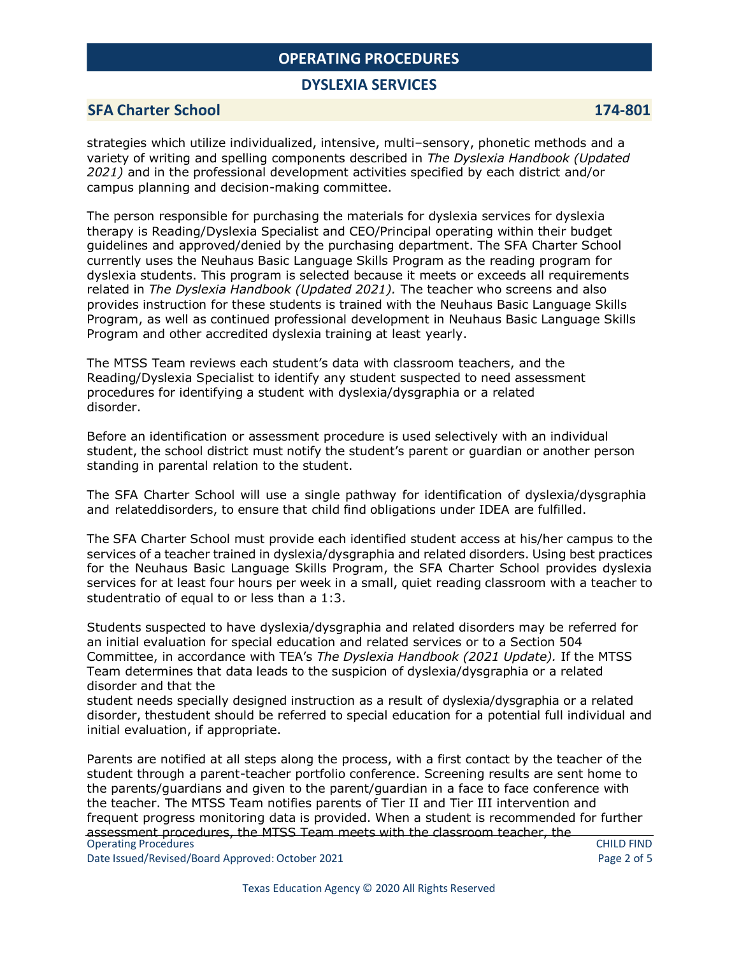### **DYSLEXIA SERVICES**

### **SFA Charter School 174-801**

strategies which utilize individualized, intensive, multi–sensory, phonetic methods and a variety of writing and spelling components described in *The Dyslexia Handbook (Updated 2021)* and in the professional development activities specified by each district and/or campus planning and decision-making committee.

The person responsible for purchasing the materials for dyslexia services for dyslexia therapy is Reading/Dyslexia Specialist and CEO/Principal operating within their budget guidelines and approved/denied by the purchasing department. The SFA Charter School currently uses the Neuhaus Basic Language Skills Program as the reading program for dyslexia students. This program is selected because it meets or exceeds all requirements related in *The Dyslexia Handbook (Updated 2021).* The teacher who screens and also provides instruction for these students is trained with the Neuhaus Basic Language Skills Program, as well as continued professional development in Neuhaus Basic Language Skills Program and other accredited dyslexia training at least yearly.

The MTSS Team reviews each student's data with classroom teachers, and the Reading/Dyslexia Specialist to identify any student suspected to need assessment procedures for identifying a student with dyslexia/dysgraphia or a related disorder.

Before an identification or assessment procedure is used selectively with an individual student, the school district must notify the student's parent or guardian or another person standing in parental relation to the student.

The SFA Charter School will use a single pathway for identification of dyslexia/dysgraphia and relateddisorders, to ensure that child find obligations under IDEA are fulfilled.

The SFA Charter School must provide each identified student access at his/her campus to the services of a teacher trained in dyslexia/dysgraphia and related disorders. Using best practices for the Neuhaus Basic Language Skills Program, the SFA Charter School provides dyslexia services for at least four hours per week in a small, quiet reading classroom with a teacher to studentratio of equal to or less than a 1:3.

Students suspected to have dyslexia/dysgraphia and related disorders may be referred for an initial evaluation for special education and related services or to a Section 504 Committee, in accordance with TEA's *The Dyslexia Handbook (2021 Update).* If the MTSS Team determines that data leads to the suspicion of dyslexia/dysgraphia or a related disorder and that the

student needs specially designed instruction as a result of dyslexia/dysgraphia or a related disorder, thestudent should be referred to special education for a potential full individual and initial evaluation, if appropriate.

Operating Procedures CHILD FIND Parents are notified at all steps along the process, with a first contact by the teacher of the student through a parent-teacher portfolio conference. Screening results are sent home to the parents/guardians and given to the parent/guardian in a face to face conference with the teacher. The MTSS Team notifies parents of Tier II and Tier III intervention and frequent progress monitoring data is provided. When a student is recommended for further assessment procedures, the MTSS Team meets with the classroom teacher, the

Date Issued/Revised/Board Approved: October 2021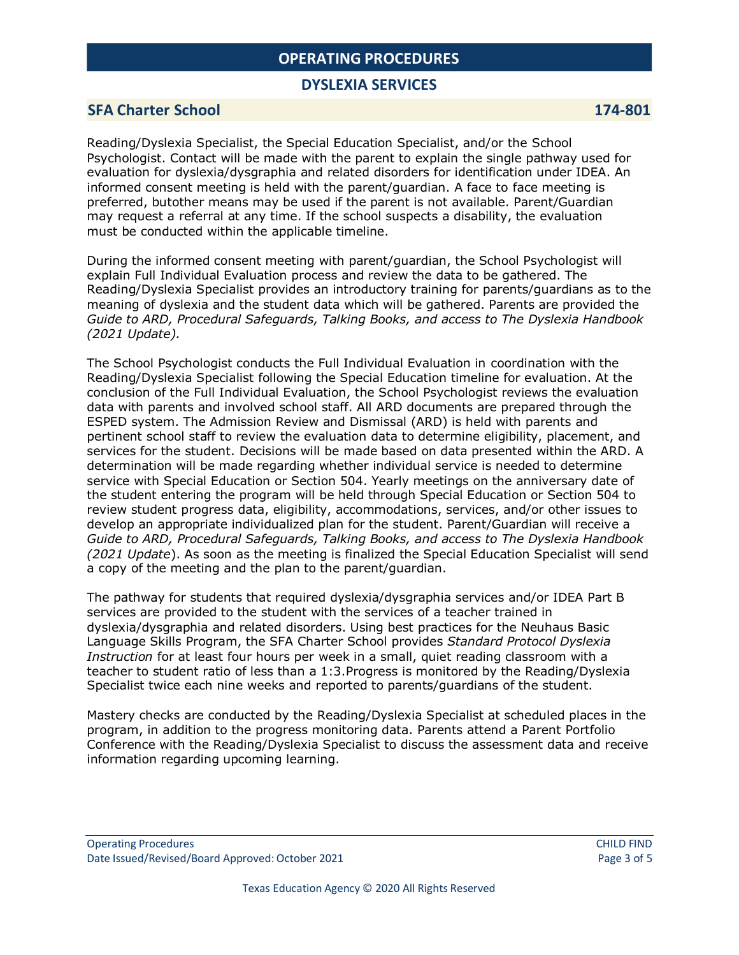### **DYSLEXIA SERVICES**

### **SFA Charter School 174-801**

Reading/Dyslexia Specialist, the Special Education Specialist, and/or the School Psychologist. Contact will be made with the parent to explain the single pathway used for evaluation for dyslexia/dysgraphia and related disorders for identification under IDEA. An informed consent meeting is held with the parent/guardian. A face to face meeting is preferred, butother means may be used if the parent is not available. Parent/Guardian may request a referral at any time. If the school suspects a disability, the evaluation must be conducted within the applicable timeline.

During the informed consent meeting with parent/guardian, the School Psychologist will explain Full Individual Evaluation process and review the data to be gathered. The Reading/Dyslexia Specialist provides an introductory training for parents/guardians as to the meaning of dyslexia and the student data which will be gathered. Parents are provided the *Guide to ARD, Procedural Safeguards, Talking Books, and access to The Dyslexia Handbook (2021 Update).*

The School Psychologist conducts the Full Individual Evaluation in coordination with the Reading/Dyslexia Specialist following the Special Education timeline for evaluation. At the conclusion of the Full Individual Evaluation, the School Psychologist reviews the evaluation data with parents and involved school staff. All ARD documents are prepared through the ESPED system. The Admission Review and Dismissal (ARD) is held with parents and pertinent school staff to review the evaluation data to determine eligibility, placement, and services for the student. Decisions will be made based on data presented within the ARD. A determination will be made regarding whether individual service is needed to determine service with Special Education or Section 504. Yearly meetings on the anniversary date of the student entering the program will be held through Special Education or Section 504 to review student progress data, eligibility, accommodations, services, and/or other issues to develop an appropriate individualized plan for the student. Parent/Guardian will receive a *Guide to ARD, Procedural Safeguards, Talking Books, and access to The Dyslexia Handbook (2021 Update*). As soon as the meeting is finalized the Special Education Specialist will send a copy of the meeting and the plan to the parent/guardian.

The pathway for students that required dyslexia/dysgraphia services and/or IDEA Part B services are provided to the student with the services of a teacher trained in dyslexia/dysgraphia and related disorders. Using best practices for the Neuhaus Basic Language Skills Program, the SFA Charter School provides *Standard Protocol Dyslexia Instruction* for at least four hours per week in a small, quiet reading classroom with a teacher to student ratio of less than a 1:3.Progress is monitored by the Reading/Dyslexia Specialist twice each nine weeks and reported to parents/guardians of the student.

Mastery checks are conducted by the Reading/Dyslexia Specialist at scheduled places in the program, in addition to the progress monitoring data. Parents attend a Parent Portfolio Conference with the Reading/Dyslexia Specialist to discuss the assessment data and receive information regarding upcoming learning.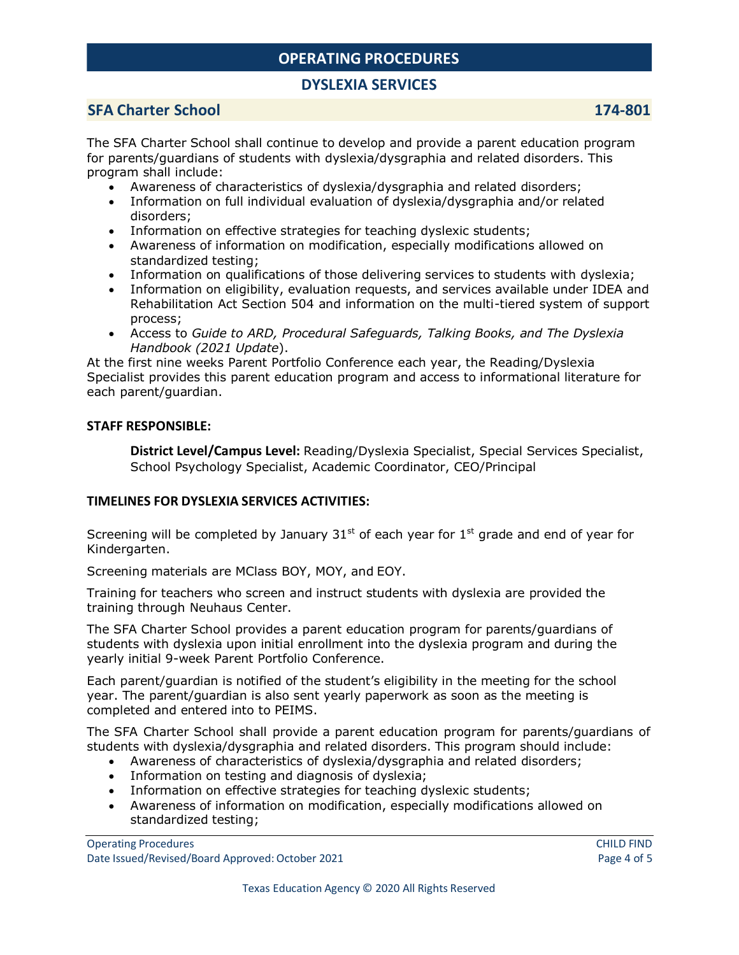# **DYSLEXIA SERVICES**

# **SFA Charter School 174-801**

The SFA Charter School shall continue to develop and provide a parent education program for parents/guardians of students with dyslexia/dysgraphia and related disorders. This program shall include:

- Awareness of characteristics of dyslexia/dysgraphia and related disorders;
- Information on full individual evaluation of dyslexia/dysgraphia and/or related disorders;
- Information on effective strategies for teaching dyslexic students;
- Awareness of information on modification, especially modifications allowed on standardized testing;
- Information on qualifications of those delivering services to students with dyslexia;
- Information on eligibility, evaluation requests, and services available under IDEA and Rehabilitation Act Section 504 and information on the multi-tiered system of support process;
- Access to *Guide to ARD, Procedural Safeguards, Talking Books, and The Dyslexia Handbook (2021 Update*).

At the first nine weeks Parent Portfolio Conference each year, the Reading/Dyslexia Specialist provides this parent education program and access to informational literature for each parent/guardian.

### **STAFF RESPONSIBLE:**

**District Level/Campus Level:** Reading/Dyslexia Specialist, Special Services Specialist, School Psychology Specialist, Academic Coordinator, CEO/Principal

## **TIMELINES FOR DYSLEXIA SERVICES ACTIVITIES:**

Screening will be completed by January  $31<sup>st</sup>$  of each year for  $1<sup>st</sup>$  grade and end of year for Kindergarten.

Screening materials are MClass BOY, MOY, and EOY.

Training for teachers who screen and instruct students with dyslexia are provided the training through Neuhaus Center.

The SFA Charter School provides a parent education program for parents/guardians of students with dyslexia upon initial enrollment into the dyslexia program and during the yearly initial 9-week Parent Portfolio Conference.

Each parent/guardian is notified of the student's eligibility in the meeting for the school year. The parent/guardian is also sent yearly paperwork as soon as the meeting is completed and entered into to PEIMS.

The SFA Charter School shall provide a parent education program for parents/guardians of students with dyslexia/dysgraphia and related disorders. This program should include:

- Awareness of characteristics of dyslexia/dysgraphia and related disorders;
- Information on testing and diagnosis of dyslexia;
- Information on effective strategies for teaching dyslexic students;
- Awareness of information on modification, especially modifications allowed on standardized testing;